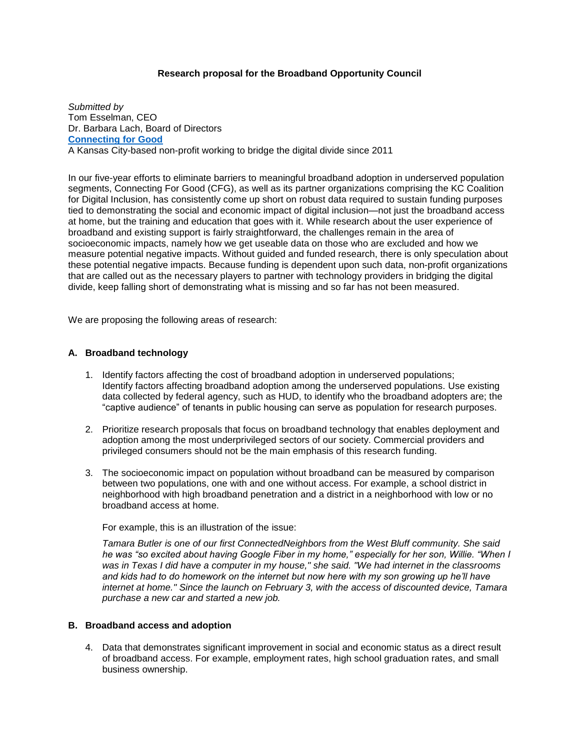## **Research proposal for the Broadband Opportunity Council**

*Submitted by*  Tom Esselman, CEO Dr. Barbara Lach, Board of Directors **[Connecting for Good](http://www.connectingforgood.org/)** A Kansas City-based non-profit working to bridge the digital divide since 2011

In our five-year efforts to eliminate barriers to meaningful broadband adoption in underserved population segments, Connecting For Good (CFG), as well as its partner organizations comprising the KC Coalition for Digital Inclusion, has consistently come up short on robust data required to sustain funding purposes tied to demonstrating the social and economic impact of digital inclusion—not just the broadband access at home, but the training and education that goes with it. While research about the user experience of broadband and existing support is fairly straightforward, the challenges remain in the area of socioeconomic impacts, namely how we get useable data on those who are excluded and how we measure potential negative impacts. Without guided and funded research, there is only speculation about these potential negative impacts. Because funding is dependent upon such data, non-profit organizations that are called out as the necessary players to partner with technology providers in bridging the digital divide, keep falling short of demonstrating what is missing and so far has not been measured.

We are proposing the following areas of research:

#### **A. Broadband technology**

- 1. Identify factors affecting the cost of broadband adoption in underserved populations; Identify factors affecting broadband adoption among the underserved populations. Use existing data collected by federal agency, such as HUD, to identify who the broadband adopters are; the "captive audience" of tenants in public housing can serve as population for research purposes.
- 2. Prioritize research proposals that focus on broadband technology that enables deployment and adoption among the most underprivileged sectors of our society. Commercial providers and privileged consumers should not be the main emphasis of this research funding.
- 3. The socioeconomic impact on population without broadband can be measured by comparison between two populations, one with and one without access. For example, a school district in neighborhood with high broadband penetration and a district in a neighborhood with low or no broadband access at home.

For example, this is an illustration of the issue:

*Tamara Butler is one of our first ConnectedNeighbors from the West Bluff community. She said he was "so excited about having Google Fiber in my home," especially for her son, Willie. "When I was in Texas I did have a computer in my house," she said. "We had internet in the classrooms and kids had to do homework on the internet but now here with my son growing up he'll have internet at home." Since the launch on February 3, with the access of discounted device, Tamara purchase a new car and started a new job.*

# **B. Broadband access and adoption**

4. Data that demonstrates significant improvement in social and economic status as a direct result of broadband access. For example, employment rates, high school graduation rates, and small business ownership.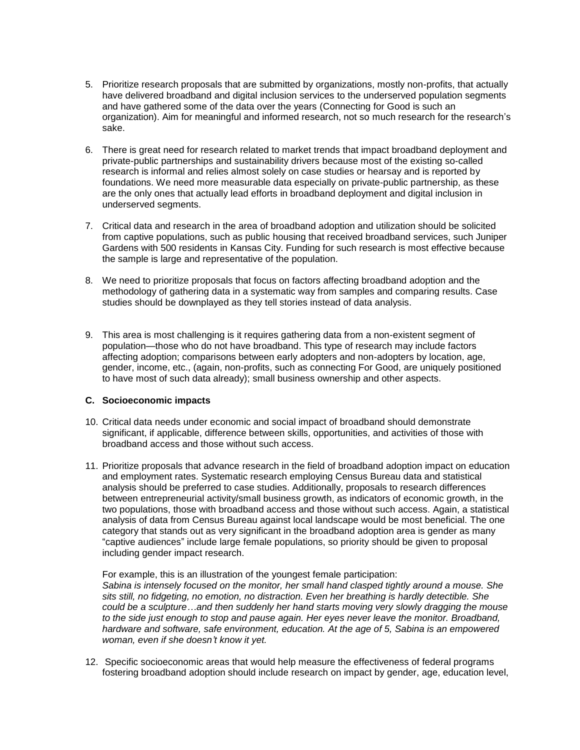- 5. Prioritize research proposals that are submitted by organizations, mostly non-profits, that actually have delivered broadband and digital inclusion services to the underserved population segments and have gathered some of the data over the years (Connecting for Good is such an organization). Aim for meaningful and informed research, not so much research for the research's sake.
- 6. There is great need for research related to market trends that impact broadband deployment and private-public partnerships and sustainability drivers because most of the existing so-called research is informal and relies almost solely on case studies or hearsay and is reported by foundations. We need more measurable data especially on private-public partnership, as these are the only ones that actually lead efforts in broadband deployment and digital inclusion in underserved segments.
- 7. Critical data and research in the area of broadband adoption and utilization should be solicited from captive populations, such as public housing that received broadband services, such Juniper Gardens with 500 residents in Kansas City. Funding for such research is most effective because the sample is large and representative of the population.
- 8. We need to prioritize proposals that focus on factors affecting broadband adoption and the methodology of gathering data in a systematic way from samples and comparing results. Case studies should be downplayed as they tell stories instead of data analysis.
- 9. This area is most challenging is it requires gathering data from a non-existent segment of population—those who do not have broadband. This type of research may include factors affecting adoption; comparisons between early adopters and non-adopters by location, age, gender, income, etc., (again, non-profits, such as connecting For Good, are uniquely positioned to have most of such data already); small business ownership and other aspects.

### **C. Socioeconomic impacts**

- 10. Critical data needs under economic and social impact of broadband should demonstrate significant, if applicable, difference between skills, opportunities, and activities of those with broadband access and those without such access.
- 11. Prioritize proposals that advance research in the field of broadband adoption impact on education and employment rates. Systematic research employing Census Bureau data and statistical analysis should be preferred to case studies. Additionally, proposals to research differences between entrepreneurial activity/small business growth, as indicators of economic growth, in the two populations, those with broadband access and those without such access. Again, a statistical analysis of data from Census Bureau against local landscape would be most beneficial. The one category that stands out as very significant in the broadband adoption area is gender as many "captive audiences" include large female populations, so priority should be given to proposal including gender impact research.

For example, this is an illustration of the youngest female participation: *Sabina is intensely focused on the monitor, her small hand clasped tightly around a mouse. She sits still, no fidgeting, no emotion, no distraction. Even her breathing is hardly detectible. She could be a sculpture…and then suddenly her hand starts moving very slowly dragging the mouse to the side just enough to stop and pause again. Her eyes never leave the monitor. Broadband, hardware and software, safe environment, education. At the age of 5, Sabina is an empowered woman, even if she doesn't know it yet.*

12. Specific socioeconomic areas that would help measure the effectiveness of federal programs fostering broadband adoption should include research on impact by gender, age, education level,